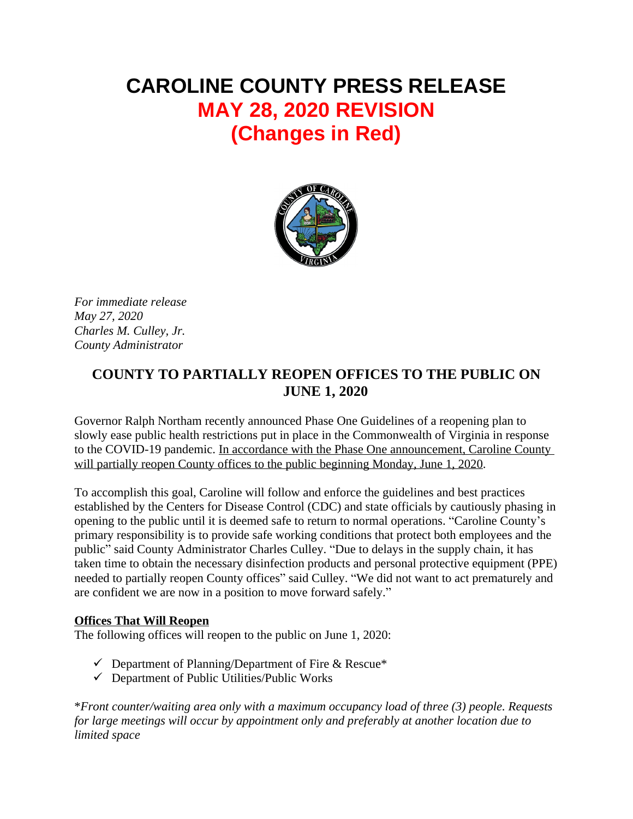# **CAROLINE COUNTY PRESS RELEASE MAY 28, 2020 REVISION (Changes in Red)**



*For immediate release May 27, 2020 Charles M. Culley, Jr. County Administrator*

## **COUNTY TO PARTIALLY REOPEN OFFICES TO THE PUBLIC ON JUNE 1, 2020**

Governor Ralph Northam recently announced Phase One Guidelines of a reopening plan to slowly ease public health restrictions put in place in the Commonwealth of Virginia in response to the COVID-19 pandemic. In accordance with the Phase One announcement, Caroline County will partially reopen County offices to the public beginning Monday, June 1, 2020.

To accomplish this goal, Caroline will follow and enforce the guidelines and best practices established by the Centers for Disease Control (CDC) and state officials by cautiously phasing in opening to the public until it is deemed safe to return to normal operations. "Caroline County's primary responsibility is to provide safe working conditions that protect both employees and the public" said County Administrator Charles Culley. "Due to delays in the supply chain, it has taken time to obtain the necessary disinfection products and personal protective equipment (PPE) needed to partially reopen County offices" said Culley. "We did not want to act prematurely and are confident we are now in a position to move forward safely."

### **Offices That Will Reopen**

The following offices will reopen to the public on June 1, 2020:

- $\checkmark$  Department of Planning/Department of Fire & Rescue\*
- $\checkmark$  Department of Public Utilities/Public Works

\**Front counter/waiting area only with a maximum occupancy load of three (3) people. Requests for large meetings will occur by appointment only and preferably at another location due to limited space*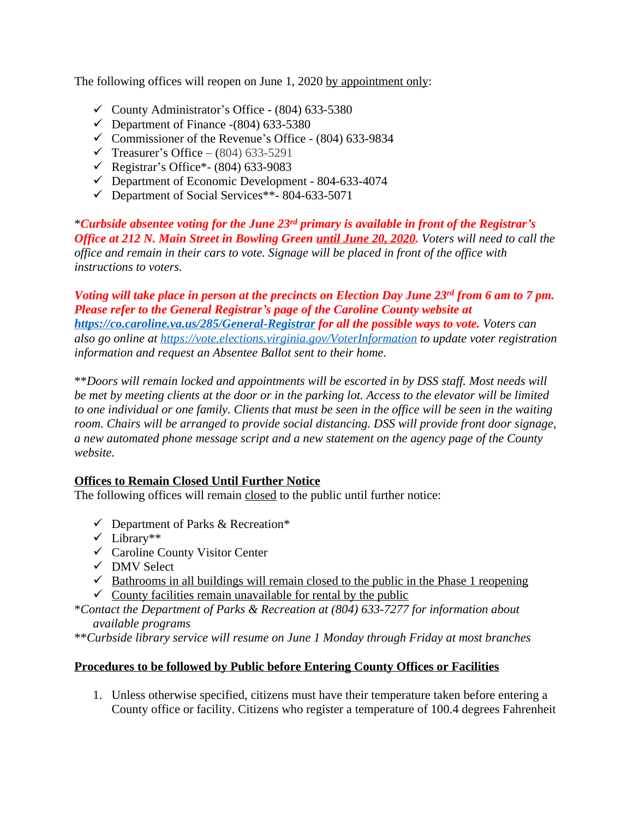The following offices will reopen on June 1, 2020 by appointment only:

- $\checkmark$  County Administrator's Office (804) 633-5380
- $\checkmark$  Department of Finance -(804) 633-5380
- $\checkmark$  Commissioner of the Revenue's Office (804) 633-9834
- $\checkmark$  Treasurer's Office (804) 633-5291
- $\checkmark$  Registrar's Office\*- (804) 633-9083
- $\checkmark$  Department of Economic Development 804-633-4074
- $\checkmark$  Department of Social Services\*\*- 804-633-5071

\**Curbside absentee voting for the June 23rd primary is available in front of the Registrar's Office at 212 N. Main Street in Bowling Green until June 20, 2020. Voters will need to call the office and remain in their cars to vote. Signage will be placed in front of the office with instructions to voters.* 

*Voting will take place in person at the precincts on Election Day June 23rd from 6 am to 7 pm. Please refer to the General Registrar's page of the Caroline County website at <https://co.caroline.va.us/285/General-Registrar> for all the possible ways to vote. Voters can also go online at<https://vote.elections.virginia.gov/VoterInformation>to update voter registration information and request an Absentee Ballot sent to their home.*

\*\**Doors will remain locked and appointments will be escorted in by DSS staff. Most needs will be met by meeting clients at the door or in the parking lot. Access to the elevator will be limited to one individual or one family. Clients that must be seen in the office will be seen in the waiting room. Chairs will be arranged to provide social distancing. DSS will provide front door signage, a new automated phone message script and a new statement on the agency page of the County website.*

### **Offices to Remain Closed Until Further Notice**

The following offices will remain closed to the public until further notice:

- $\checkmark$  Department of Parks & Recreation\*
- $\checkmark$  Library\*\*
- $\checkmark$  Caroline County Visitor Center
- $\checkmark$  DMV Select
- $\checkmark$  Bathrooms in all buildings will remain closed to the public in the Phase 1 reopening
- $\checkmark$  County facilities remain unavailable for rental by the public

\**Contact the Department of Parks & Recreation at (804) 633-7277 for information about available programs*

\*\**Curbside library service will resume on June 1 Monday through Friday at most branches*

#### **Procedures to be followed by Public before Entering County Offices or Facilities**

1. Unless otherwise specified, citizens must have their temperature taken before entering a County office or facility. Citizens who register a temperature of 100.4 degrees Fahrenheit